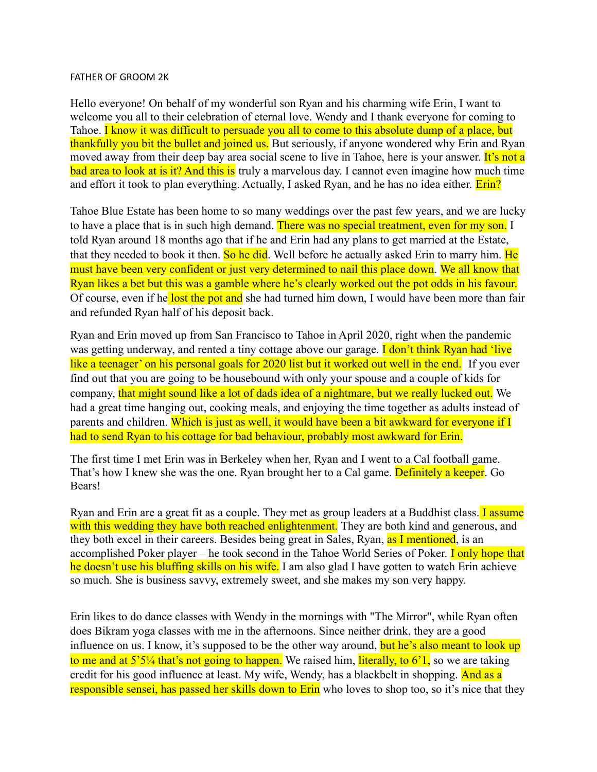## FATHER OF GROOM 2K

Hello everyone! On behalf of my wonderful son Ryan and his charming wife Erin, I want to welcome you all to their celebration of eternal love. Wendy and I thank everyone for coming to Tahoe. I know it was difficult to persuade you all to come to this absolute dump of a place, but thankfully you bit the bullet and joined us. But seriously, if anyone wondered why Erin and Ryan moved away from their deep bay area social scene to live in Tahoe, here is your answer. It's not a bad area to look at is it? And this is truly a marvelous day. I cannot even imagine how much time and effort it took to plan everything. Actually, I asked Ryan, and he has no idea either. **Erin?** 

Tahoe Blue Estate has been home to so many weddings over the past few years, and we are lucky to have a place that is in such high demand. There was no special treatment, even for my son. I told Ryan around 18 months ago that if he and Erin had any plans to get married at the Estate, that they needed to book it then. So he did. Well before he actually asked Erin to marry him. He must have been very confident or just very determined to nail this place down. We all know that Ryan likes a bet but this was a gamble where he's clearly worked out the pot odds in his favour. Of course, even if he lost the pot and she had turned him down, I would have been more than fair and refunded Ryan half of his deposit back.

Ryan and Erin moved up from San Francisco to Tahoe in April 2020, right when the pandemic was getting underway, and rented a tiny cottage above our garage. **I don't think Ryan had 'live** like a teenager' on his personal goals for 2020 list but it worked out well in the end. If you ever find out that you are going to be housebound with only your spouse and a couple of kids for company, that might sound like a lot of dads idea of a nightmare, but we really lucked out. We had a great time hanging out, cooking meals, and enjoying the time together as adults instead of parents and children. Which is just as well, it would have been a bit awkward for everyone if I had to send Ryan to his cottage for bad behaviour, probably most awkward for Erin.

The first time I met Erin was in Berkeley when her, Ryan and I went to a Cal football game. That's how I knew she was the one. Ryan brought her to a Cal game. Definitely a keeper. Go Bears!

Ryan and Erin are a great fit as a couple. They met as group leaders at a Buddhist class. I assume with this wedding they have both reached enlightenment. They are both kind and generous, and they both excel in their careers. Besides being great in Sales, Ryan, as I mentioned, is an accomplished Poker player – he took second in the Tahoe World Series of Poker. **I only hope that** he doesn't use his bluffing skills on his wife. I am also glad I have gotten to watch Erin achieve so much. She is business savvy, extremely sweet, and she makes my son very happy.

Erin likes to do dance classes with Wendy in the mornings with "The Mirror", while Ryan often does Bikram yoga classes with me in the afternoons. Since neither drink, they are a good influence on us. I know, it's supposed to be the other way around, but he's also meant to look up to me and at  $5^{\prime}5^{\prime}/4$  that's not going to happen. We raised him, literally, to  $6^{\prime}1$ , so we are taking credit for his good influence at least. My wife, Wendy, has a blackbelt in shopping. And as a responsible sensei, has passed her skills down to Erin who loves to shop too, so it's nice that they